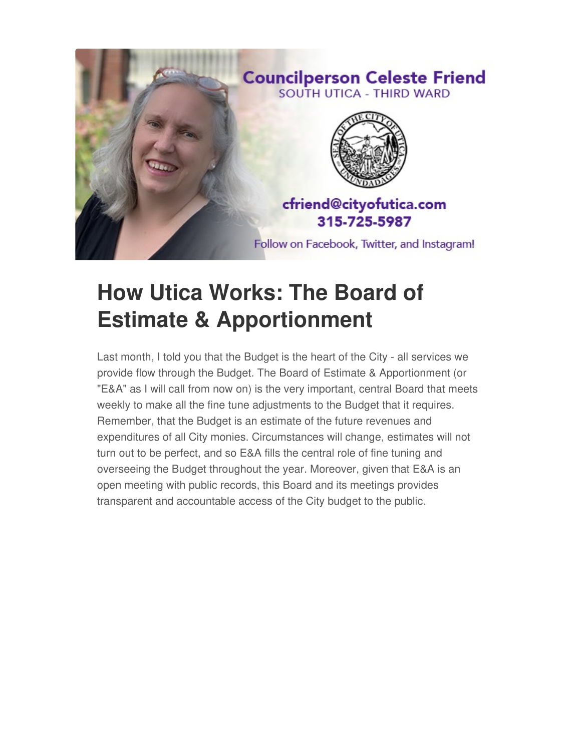

## **How Utica Works: The Board of Estimate & Apportionment**

Last month, I told you that the Budget is the heart of the City - all services we provide flow through the Budget. The Board of Estimate & Apportionment (or "E&A" as I will call from now on) is the very important, central Board that meets weekly to make all the fine tune adjustments to the Budget that it requires. Remember, that the Budget is an estimate of the future revenues and expenditures of all City monies. Circumstances will change, estimates will not turn out to be perfect, and so E&A fills the central role of fine tuning and overseeing the Budget throughout the year. Moreover, given that E&A is an open meeting with public records, this Board and its meetings provides transparent and accountable access of the City budget to the public.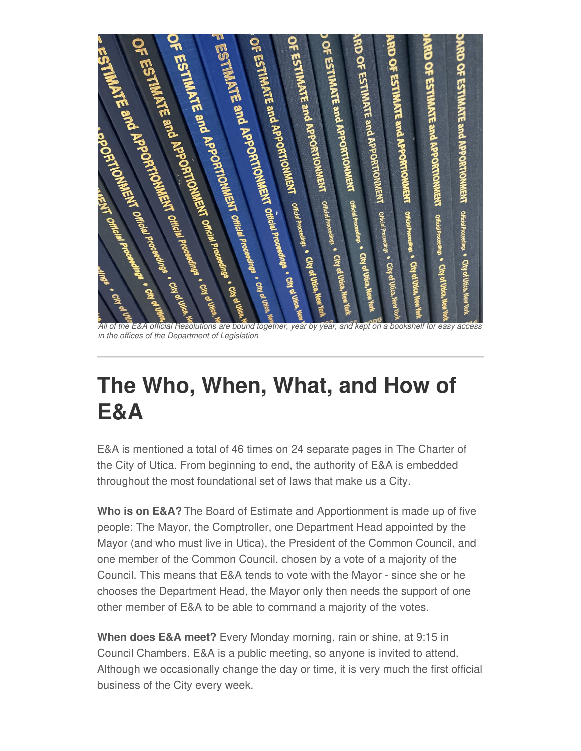

All of the E&A official Resolutions are bound together, year by year, and kept on a bookshelf for easy access *in the offices of the Department of Legislation*

## **The Who, When, What, and How of E&A**

E&A is mentioned a total of 46 times on 24 separate pages in The Charter of the City of Utica. From beginning to end, the authority of E&A is embedded throughout the most foundational set of laws that make us a City.

**Who is on E&A?** The Board of Estimate and Apportionment is made up of five people: The Mayor, the Comptroller, one Department Head appointed by the Mayor (and who must live in Utica), the President of the Common Council, and one member of the Common Council, chosen by a vote of a majority of the Council. This means that E&A tends to vote with the Mayor - since she or he chooses the Department Head, the Mayor only then needs the support of one other member of E&A to be able to command a majority of the votes.

**When does E&A meet?** Every Monday morning, rain or shine, at 9:15 in Council Chambers. E&A is a public meeting, so anyone is invited to attend. Although we occasionally change the day or time, it is very much the first official business of the City every week.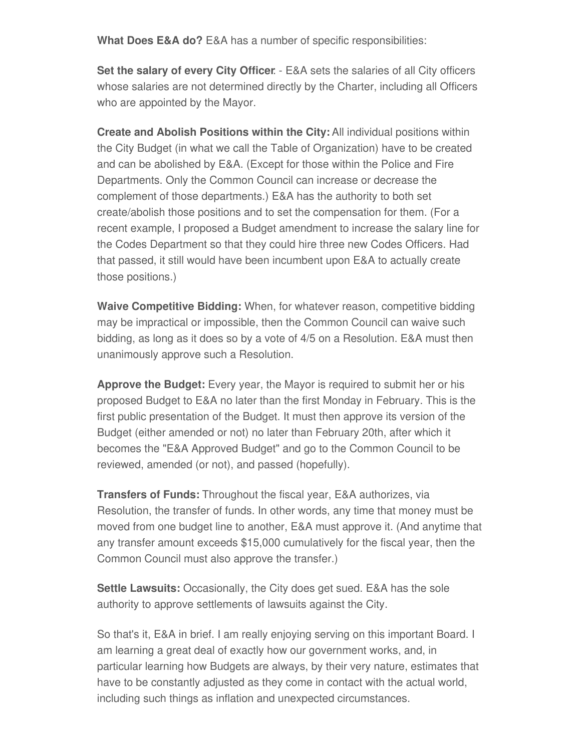**What Does E&A do?** E&A has a number of specific responsibilities:

**Set the salary of every City Officer**: - E&A sets the salaries of all City officers whose salaries are not determined directly by the Charter, including all Officers who are appointed by the Mayor.

**Create and Abolish Positions within the City:** All individual positions within the City Budget (in what we call the Table of Organization) have to be created and can be abolished by E&A. (Except for those within the Police and Fire Departments. Only the Common Council can increase or decrease the complement of those departments.) E&A has the authority to both set create/abolish those positions and to set the compensation for them. (For a recent example, I proposed a Budget amendment to increase the salary line for the Codes Department so that they could hire three new Codes Officers. Had that passed, it still would have been incumbent upon E&A to actually create those positions.)

**Waive Competitive Bidding:** When, for whatever reason, competitive bidding may be impractical or impossible, then the Common Council can waive such bidding, as long as it does so by a vote of 4/5 on a Resolution. E&A must then unanimously approve such a Resolution.

**Approve the Budget:** Every year, the Mayor is required to submit her or his proposed Budget to E&A no later than the first Monday in February. This is the first public presentation of the Budget. It must then approve its version of the Budget (either amended or not) no later than February 20th, after which it becomes the "E&A Approved Budget" and go to the Common Council to be reviewed, amended (or not), and passed (hopefully).

**Transfers of Funds:** Throughout the fiscal year, E&A authorizes, via Resolution, the transfer of funds. In other words, any time that money must be moved from one budget line to another, E&A must approve it. (And anytime that any transfer amount exceeds \$15,000 cumulatively for the fiscal year, then the Common Council must also approve the transfer.)

**Settle Lawsuits:** Occasionally, the City does get sued. E&A has the sole authority to approve settlements of lawsuits against the City.

So that's it, E&A in brief. I am really enjoying serving on this important Board. I am learning a great deal of exactly how our government works, and, in particular learning how Budgets are always, by their very nature, estimates that have to be constantly adjusted as they come in contact with the actual world, including such things as inflation and unexpected circumstances.